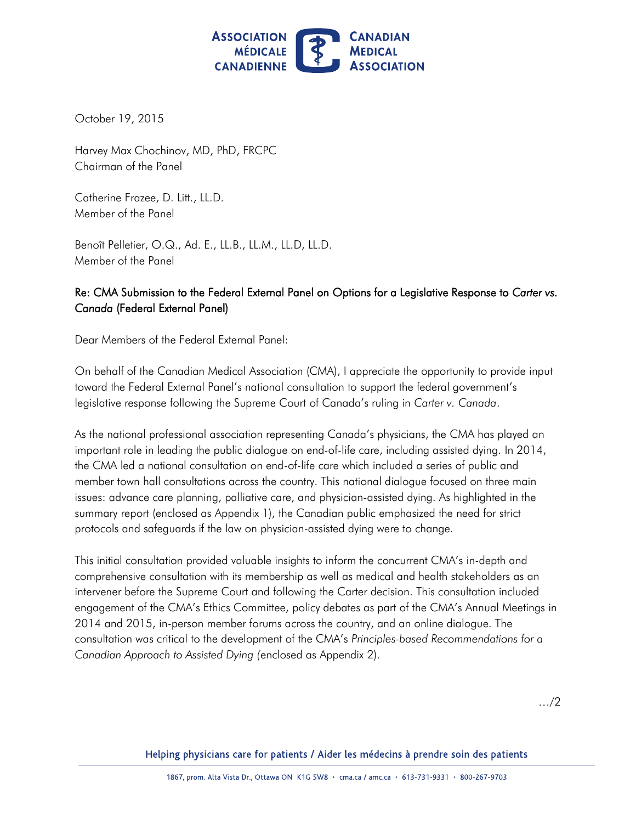

October 19, 2015

Harvey Max Chochinov, MD, PhD, FRCPC Chairman of the Panel

Catherine Frazee, D. Litt., LL.D. Member of the Panel

Benoît Pelletier, O.Q., Ad. E., LL.B., LL.M., LL.D, LL.D. Member of the Panel

## Re: CMA Submission to the Federal External Panel on Options for a Legislative Response to *Carter vs. Canada* (Federal External Panel)

Dear Members of the Federal External Panel:

On behalf of the Canadian Medical Association (CMA), I appreciate the opportunity to provide input toward the Federal External Panel's national consultation to support the federal government's legislative response following the Supreme Court of Canada's ruling in *Carter v. Canada*.

 As the national professional association representing Canada's physicians, the CMA has played an important role in leading the public dialogue on end-of-life care, including assisted dying. In 2014, the CMA led a national consultation on end-of-life care which included a series of public and member town hall consultations across the country. This national dialogue focused on three main issues: advance care planning, palliative care, and physician-assisted dying. As highlighted in the summary report (enclosed as Appendix 1), the Canadian public emphasized the need for strict protocols and safeguards if the law on physician-assisted dying were to change.

This initial consultation provided valuable insights to inform the concurrent CMA's in-depth and comprehensive consultation with its membership as well as medical and health stakeholders as an intervener before the Supreme Court and following the Carter decision. This consultation included engagement of the CMA's Ethics Committee, policy debates as part of the CMA's Annual Meetings in 2014 and 2015, in-person member forums across the country, and an online dialogue. The consultation was critical to the development of the CMA's *Principles-based Recommendations for a Canadian Approach to Assisted Dying (*enclosed as Appendix 2).

…/2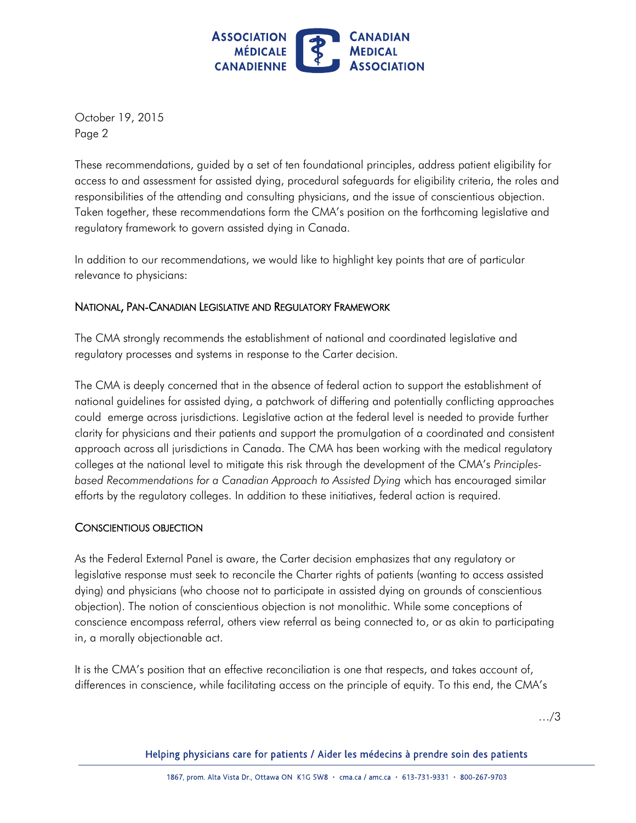

 Page 2 October 19, 2015

 These recommendations, guided by a set of ten foundational principles, address patient eligibility for access to and assessment for assisted dying, procedural safeguards for eligibility criteria, the roles and responsibilities of the attending and consulting physicians, and the issue of conscientious objection. Taken together, these recommendations form the CMA's position on the forthcoming legislative and regulatory framework to govern assisted dying in Canada.

 In addition to our recommendations, we would like to highlight key points that are of particular relevance to physicians:

## NATIONAL, PAN-CANADIAN LEGISLATIVE AND REGULATORY FRAMEWORK

 The CMA strongly recommends the establishment of national and coordinated legislative and regulatory processes and systems in response to the Carter decision.

 The CMA is deeply concerned that in the absence of federal action to support the establishment of national guidelines for assisted dying, a patchwork of differing and potentially conflicting approaches could emerge across jurisdictions. Legislative action at the federal level is needed to provide further clarity for physicians and their patients and support the promulgation of a coordinated and consistent approach across all jurisdictions in Canada. The CMA has been working with the medical regulatory colleges at the national level to mitigate this risk through the development of the CMA's *Principles- based Recommendations for a Canadian Approach to Assisted Dying* which has encouraged similar efforts by the regulatory colleges. In addition to these initiatives, federal action is required.

## CONSCIENTIOUS OBJECTION

 As the Federal External Panel is aware, the Carter decision emphasizes that any regulatory or legislative response must seek to reconcile the Charter rights of patients (wanting to access assisted dying) and physicians (who choose not to participate in assisted dying on grounds of conscientious objection). The notion of conscientious objection is not monolithic. While some conceptions of conscience encompass referral, others view referral as being connected to, or as akin to participating in, a morally objectionable act.

 It is the CMA's position that an effective reconciliation is one that respects, and takes account of, differences in conscience, while facilitating access on the principle of equity. To this end, the CMA's

…/3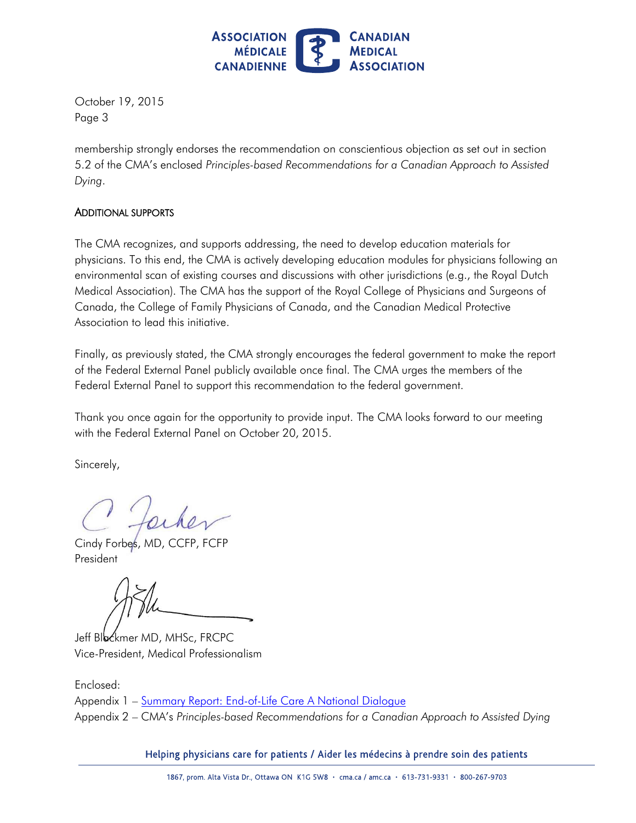

 Page 3 October 19, 2015

membership strongly endorses the recommendation on conscientious objection as set out in section 5.2 of the CMA's enclosed *Principles-based Recommendations for a Canadian Approach to Assisted Dying*.

#### ADDITIONAL SUPPORTS

 The CMA recognizes, and supports addressing, the need to develop education materials for physicians. To this end, the CMA is actively developing education modules for physicians following an environmental scan of existing courses and discussions with other jurisdictions (e.g., the Royal Dutch Medical Association). The CMA has the support of the Royal College of Physicians and Surgeons of Canada, the College of Family Physicians of Canada, and the Canadian Medical Protective Association to lead this initiative.

 Finally, as previously stated, the CMA strongly encourages the federal government to make the report of the Federal External Panel publicly available once final. The CMA urges the members of the Federal External Panel to support this recommendation to the federal government.

 Thank you once again for the opportunity to provide input. The CMA looks forward to our meeting with the Federal External Panel on October 20, 2015.

Sincerely,

Cindy Forbes, MD, CCFP, President

Jeff Blockmer MD, MHSc, FRCPC Vice-President, Medical Professionalism

Appendix 1 – <u>Summary Report: End-of-Life Care A National Dialogue</u> Enclosed: Appendix 2 – CMA's *Principles-based Recommendations for a Canadian Approach to Assisted Dying*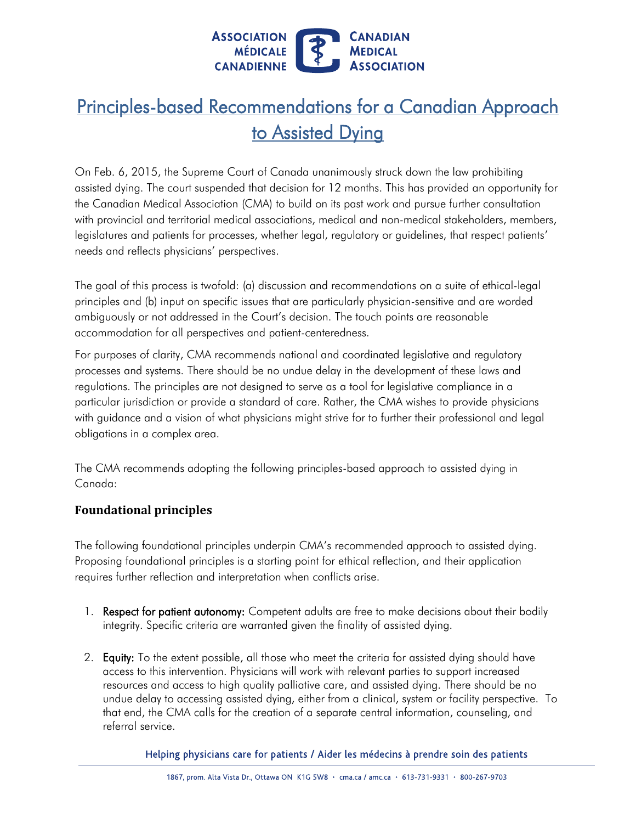

# Principles-based Recommendations for a Canadian Approach to Assisted Dying

 On Feb. 6, 2015, the Supreme Court of Canada unanimously struck down the law prohibiting assisted dying. The court suspended that decision for 12 months. This has provided an opportunity for the Canadian Medical Association (CMA) to build on its past work and pursue further consultation with provincial and territorial medical associations, medical and non-medical stakeholders, members, legislatures and patients for processes, whether legal, regulatory or guidelines, that respect patients' needs and reflects physicians' perspectives.

 The goal of this process is twofold: (a) discussion and recommendations on a suite of ethical-legal principles and (b) input on specific issues that are particularly physician-sensitive and are worded ambiguously or not addressed in the Court's decision. The touch points are reasonable accommodation for all perspectives and patient-centeredness.

 For purposes of clarity, CMA recommends national and coordinated legislative and regulatory processes and systems. There should be no undue delay in the development of these laws and regulations. The principles are not designed to serve as a tool for legislative compliance in a particular jurisdiction or provide a standard of care. Rather, the CMA wishes to provide physicians with guidance and a vision of what physicians might strive for to further their professional and legal obligations in a complex area.

 The CMA recommends adopting the following principles-based approach to assisted dying in Canada:

## **Foundational principles**

 The following foundational principles underpin CMA's recommended approach to assisted dying. Proposing foundational principles is a starting point for ethical reflection, and their application requires further reflection and interpretation when conflicts arise.

- 1. Respect for patient autonomy: Competent adults are free to make decisions about their bodily integrity. Specific criteria are warranted given the finality of assisted dying.
- 2. **Equity:** To the extent possible, all those who meet the criteria for assisted dying should have access to this intervention. Physicians will work with relevant parties to support increased resources and access to high quality palliative care, and assisted dying. There should be no undue delay to accessing assisted dying, either from a clinical, system or facility perspective. To that end, the CMA calls for the creation of a separate central information, counseling, and referral service.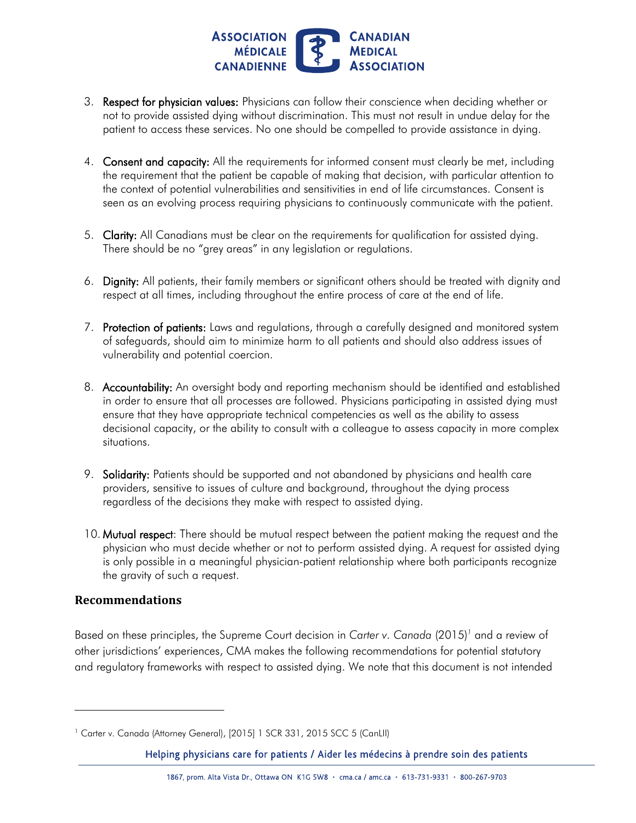

- 3. **Respect for physician values:** Physicians can follow their conscience when deciding whether or not to provide assisted dying without discrimination. This must not result in undue delay for the patient to access these services. No one should be compelled to provide assistance in dying.
- 4. Consent and capacity: All the requirements for informed consent must clearly be met, including the requirement that the patient be capable of making that decision, with particular attention to the context of potential vulnerabilities and sensitivities in end of life circumstances. Consent is seen as an evolving process requiring physicians to continuously communicate with the patient.
- 5. Clarity: All Canadians must be clear on the requirements for qualification for assisted dying. There should be no "grey areas" in any legislation or regulations.
- 6. Dignity: All patients, their family members or significant others should be treated with dignity and respect at all times, including throughout the entire process of care at the end of life.
- 7. Protection of patients: Laws and regulations, through a carefully designed and monitored system of safeguards, should aim to minimize harm to all patients and should also address issues of vulnerability and potential coercion.
- 8. Accountability: An oversight body and reporting mechanism should be identified and established in order to ensure that all processes are followed. Physicians participating in assisted dying must ensure that they have appropriate technical competencies as well as the ability to assess decisional capacity, or the ability to consult with a colleague to assess capacity in more complex situations.
- 9. Solidarity: Patients should be supported and not abandoned by physicians and health care providers, sensitive to issues of culture and background, throughout the dying process regardless of the decisions they make with respect to assisted dying.
- 10. Mutual respect: There should be mutual respect between the patient making the request and the physician who must decide whether or not to perform assisted dying. A request for assisted dying is only possible in a meaningful physician-patient relationship where both participants recognize the gravity of such a request.

## **Recommendations**

l

 Based on these principles, the Supreme Court decision in *Carter v. Canada* (2015)*<sup>1</sup>*and a review of other jurisdictions' experiences, CMA makes the following recommendations for potential statutory and regulatory frameworks with respect to assisted dying. We note that this document is not intended

<sup>&</sup>lt;sup>1</sup> Carter v. Canada (Attorney General), [2015] 1 SCR 331, 2015 SCC 5 (CanLII)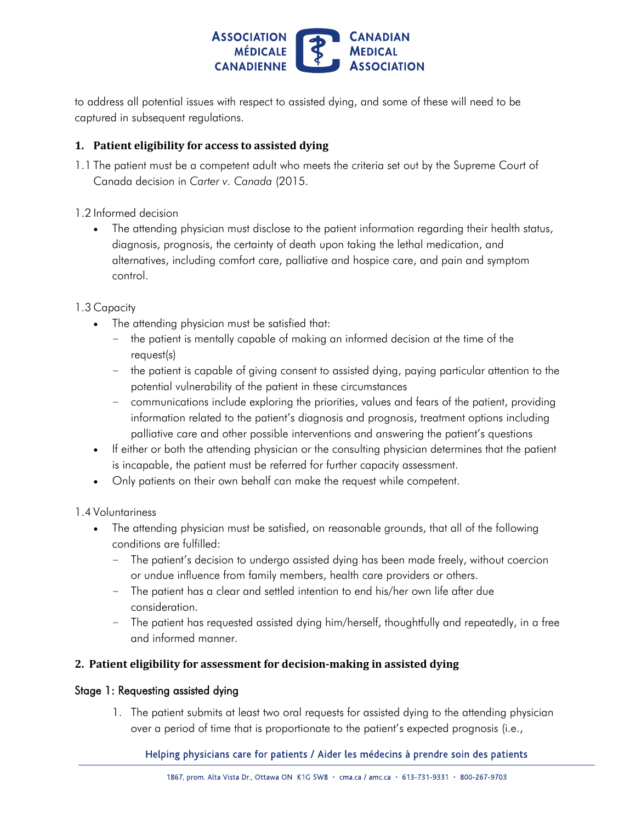

 to address all potential issues with respect to assisted dying, and some of these will need to be captured in subsequent regulations.

### **1. Patient eligibility for access to assisted dying**

- 1.1 The patient must be a competent adult who meets the criteria set out by the Supreme Court of Canada decision in *Carter v. Canada* (2015.
- 1.2 Informed decision
	- The attending physician must disclose to the patient information regarding their health status, diagnosis, prognosis, the certainty of death upon taking the lethal medication, and alternatives, including comfort care, palliative and hospice care, and pain and symptom control.
- 1.3 Capacity
	- The attending physician must be satisfied that:
		- – the patient is mentally capable of making an informed decision at the time of the request(s)
		- – the patient is capable of giving consent to assisted dying, paying particular attention to the potential vulnerability of the patient in these circumstances
		- – communications include exploring the priorities, values and fears of the patient, providing information related to the patient's diagnosis and prognosis, treatment options including palliative care and other possible interventions and answering the patient's questions
	- If either or both the attending physician or the consulting physician determines that the patient is incapable, the patient must be referred for further capacity assessment.
	- Only patients on their own behalf can make the request while competent.

#### 1.4 Voluntariness

- The attending physician must be satisfied, on reasonable grounds, that all of the following conditions are fulfilled:
	- – The patient's decision to undergo assisted dying has been made freely, without coercion or undue influence from family members, health care providers or others.
	- – The patient has a clear and settled intention to end his/her own life after due consideration.
	- – The patient has requested assisted dying him/herself, thoughtfully and repeatedly, in a free and informed manner.

#### **2. Patient eligibility for assessment for decision-making in assisted dying**

#### Stage 1: Requesting assisted dying

 1. The patient submits at least two oral requests for assisted dying to the attending physician over a period of time that is proportionate to the patient's expected prognosis (i.e.,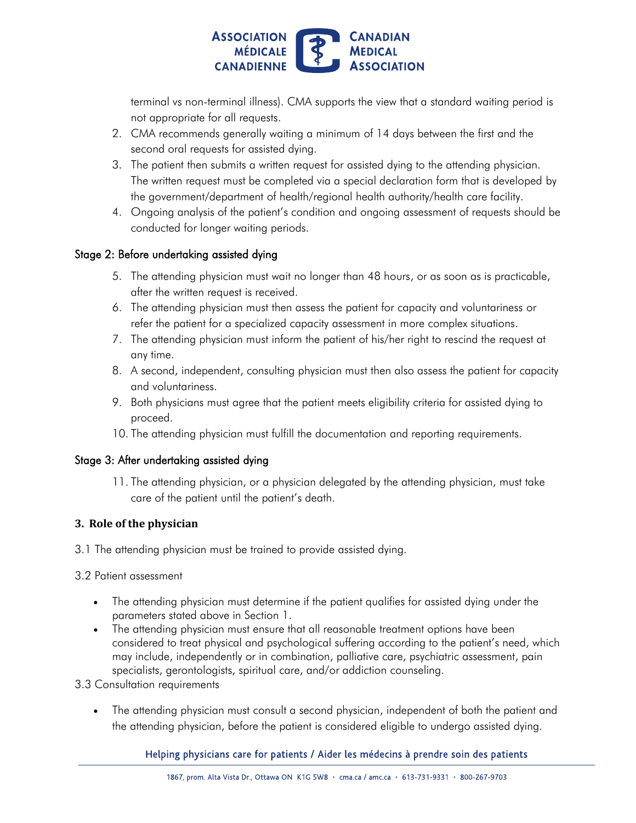

 terminal vs non-terminal illness). CMA supports the view that a standard waiting period is not appropriate for all requests.

- 2. CMA recommends generally waiting a minimum of 14 days between the first and the second oral requests for assisted dying.
- 3. The patient then submits a written request for assisted dying to the attending physician. The written request must be completed via a special declaration form that is developed by the government/department of health/regional health authority/health care facility.
- 4. Ongoing analysis of the patient's condition and ongoing assessment of requests should be conducted for longer waiting periods.

#### Stage 2: Before undertaking assisted dying

- 5. The attending physician must wait no longer than 48 hours, or as soon as is practicable, after the written request is received.
- 6. The attending physician must then assess the patient for capacity and voluntariness or refer the patient for a specialized capacity assessment in more complex situations.
- 7. The attending physician must inform the patient of his/her right to rescind the request at any time.
- 8. A second, independent, consulting physician must then also assess the patient for capacity and voluntariness.
- 9. Both physicians must agree that the patient meets eligibility criteria for assisted dying to proceed.
- 10. The attending physician must fulfill the documentation and reporting requirements.

#### Stage 3: After undertaking assisted dying

 11. The attending physician, or a physician delegated by the attending physician, must take care of the patient until the patient's death.

#### **3. Role of the physician**

3.1 The attending physician must be trained to provide assisted dying.

#### 3.2 Patient assessment

- The attending physician must determine if the patient qualifies for assisted dying under the parameters stated above in Section 1.
- The attending physician must ensure that all reasonable treatment options have been considered to treat physical and psychological suffering according to the patient's need, which may include, independently or in combination, palliative care, psychiatric assessment, pain specialists, gerontologists, spiritual care, and/or addiction counseling. 3.3 Consultation requirements
- - The attending physician must consult a second physician, independent of both the patient and the attending physician, before the patient is considered eligible to undergo assisted dying.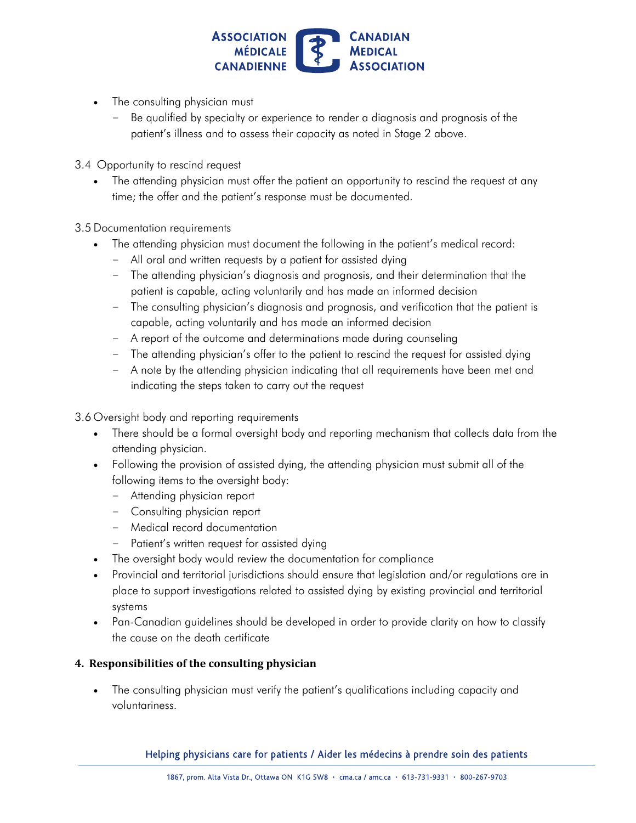

- The consulting physician must
	- – Be qualified by specialty or experience to render a diagnosis and prognosis of the patient's illness and to assess their capacity as noted in Stage 2 above.
- 3.4 Opportunity to rescind request
	- The attending physician must offer the patient an opportunity to rescind the request at any time; the offer and the patient's response must be documented.
- 3.5 Documentation requirements
	- The attending physician must document the following in the patient's medical record:
		- All oral and written requests by a patient for assisted dying
		- – The attending physician's diagnosis and prognosis, and their determination that the patient is capable, acting voluntarily and has made an informed decision
		- – The consulting physician's diagnosis and prognosis, and verification that the patient is capable, acting voluntarily and has made an informed decision
		- A report of the outcome and determinations made during counseling
		- The attending physician's offer to the patient to rescind the request for assisted dying
		- – A note by the attending physician indicating that all requirements have been met and indicating the steps taken to carry out the request

3.6 Oversight body and reporting requirements

- There should be a formal oversight body and reporting mechanism that collects data from the attending physician.
- Following the provision of assisted dying, the attending physician must submit all of the following items to the oversight body:
	- Attending physician report
	- Consulting physician report
	- Medical record documentation
	- Patient's written request for assisted dying
- The oversight body would review the documentation for compliance
- Provincial and territorial jurisdictions should ensure that legislation and/or regulations are in place to support investigations related to assisted dying by existing provincial and territorial systems
- Pan-Canadian guidelines should be developed in order to provide clarity on how to classify the cause on the death certificate

#### **4. Responsibilities of the consulting physician**

 The consulting physician must verify the patient's qualifications including capacity and voluntariness.